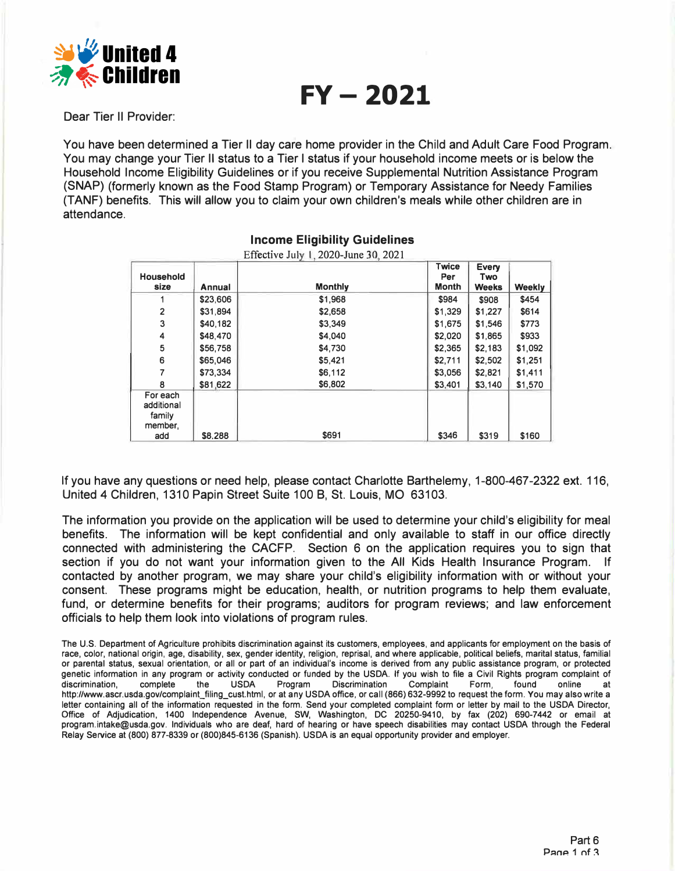

**FY- 2021** 

Dear Tier II Provider:

You have been determined a Tier II day care home provider in the Child and Adult Care Food Program. You may change your Tier II status to a Tier I status if your household income meets or is below the Household Income Eligibility Guidelines or if you receive Supplemental Nutrition Assistance Program (SNAP) (formerly known as the Food Stamp Program) or Temporary Assistance for Needy Families (TANF) benefits. This will allow you to claim your own children's meals while other children are in attendance.

|                                             |          | Effective July 1, 2020-June 30, 2021 |                                     |                              |         |
|---------------------------------------------|----------|--------------------------------------|-------------------------------------|------------------------------|---------|
| <b>Household</b><br>size                    | Annual   | <b>Monthly</b>                       | <b>Twice</b><br>Per<br><b>Month</b> | Every<br>Two<br><b>Weeks</b> | Weekly  |
|                                             | \$23,606 | \$1,968                              | \$984                               | \$908                        | \$454   |
| 2                                           | \$31,894 | \$2,658                              | \$1,329                             | \$1,227                      | \$614   |
| 3                                           | \$40.182 | \$3,349                              | \$1,675                             | \$1,546                      | \$773   |
| 4                                           | \$48,470 | \$4,040                              | \$2,020                             | \$1,865                      | \$933   |
| 5                                           | \$56,758 | \$4,730                              | \$2,365                             | \$2,183                      | \$1,092 |
| 6                                           | \$65,046 | \$5,421                              | \$2,711                             | \$2,502                      | \$1,251 |
|                                             | \$73,334 | \$6,112                              | \$3,056                             | \$2,821                      | \$1,411 |
| 8                                           | \$81,622 | \$6,802                              | \$3,401                             | \$3,140                      | \$1,570 |
| For each<br>additional<br>family<br>member, |          |                                      |                                     |                              |         |
| add                                         | \$8.288  | \$691                                | \$346                               | \$319                        | \$160   |

# **Income Eligibility Guidelines**

If you have any questions or need help, please contact Charlotte Barthelemy, 1-800-467-2322 ext. 116, United 4 Children, 1310 Papin Street Suite 100 B, St. Louis, MO 63103.

The information you provide on the application will be used to determine your child's eligibility for meal benefits. The information will be kept confidential and only available to staff in our office directly connected with administering the CACFP. Section 6 on the application requires you to sign that section if you do not want your information given to the All Kids Health Insurance Program. If contacted by another program, we may share your child's eligibility information with or without your consent. These programs might be education, health, or nutrition programs to help them evaluate, fund, or determine benefits for their programs; auditors for program reviews; and law enforcement officials to help them look into violations of program rules.

**The U.S. Department of Agriculture prohibits discrimination against its customers, employees, and applicants for employment on the basis of race, color, national origin, age, disability, sex, gender identity, religion, reprisal, and where applicable, political beliefs, marital status, familial or parental status, sexual orientation, or all or part of an individual's income is derived from any public assistance program, or protected**  genetic information in any program or activity conducted or funded by the USDA. If you wish to file a Civil Rights program complaint of discrimination, complete the USDA Program Discrimination Complaint Form, found online **discrimination, complete the USDA Program Discrimination Complaint Form, found online at http://www.ascr.usda.gov/complaint\_filing\_cust.html, or at any USDA office, or call (866) 632-9992 to request the form. You may also write a letter containing all of the information requested in the form. Send your completed complaint form or letter by mail to the USDA Director, Office of Adjudication, 1400 Independence Avenue, SW, Washington, DC 20250-9410, by fax (202) 690-7442 or email at program.intake@usda.gov. Individuals who are deaf, hard of hearing or have speech disabilities may contact USDA through the Federal Relay Service at (800) 877-8339 or (800)845-6136 (Spanish). USDA is an equal opportunity provider and employer.**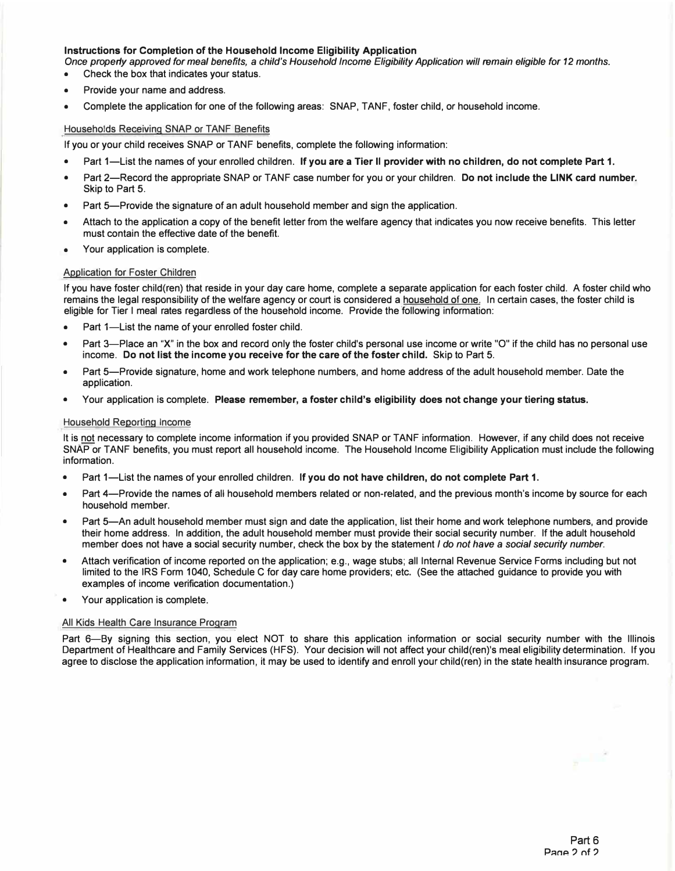## **Instructions for Completion of the Household Income Eligibility Application**

*Once properly approved for meal benefits, a child's Household Income Eligibility Application will remain eligible for 12 months.*  **• Check the box that indicates your status.**

- **• Provide your name and address.**
- **• Complete the application for one of the following areas: SNAP, TANF, foster child, or household income.**

# **Households Receiving SNAP or TANF Benefits**

**If you or your child receives SNAP or TANF benefits, complete the following information:** 

- **• Part 1-List the names of your enrolled children. If you are a Tier II provider with no children, do not complete Part 1.**
- **• Part 2-Record the appropriate SNAP or TANF case number for you or your children. Do not include the LINK card number. Skip to Part 5.**
- **• Part 5-Provide the signature of an adult household member and sign the application.**
- **• Attach to the application a copy of the benefit letter from the welfare agency that indicates you now receive benefits. This letter must contain the effective date of the benefit.**
- **• Your application is complete.**

## **Application for Foster Children**

**If you have foster child(ren) that reside in your day care home, complete a separate application for each foster child. A foster child who remains the legal responsibility of the welfare agency or court is considered a household of one. In certain cases, the foster child is eligible for Tier I meal rates regardless of the household income. Provide the following information:** 

- **• Part 1-List the name of your enrolled foster child.**
- **• Part 3-Place an "X" in the box and record only the foster child's personal use income or write "O" if the child has no personal use income. Do not list the income you receive for the care of the foster child. Skip to Part 5.**
- **• Part 5-Provide signature, home and work telephone numbers, and home address of the adult household member. Date the application.**
- **• Your application is complete. Please remember, a foster child's eligibility does not change your tiering status.**

#### **Household Reporting Income**

**It is not necessary to complete income information if you provided SNAP or TANF information. However, if any child does not receive SNAP or TANF benefits, you must report all household income. The Household Income Eligibility Application must include the following information.** 

- **• Part 1-List the names of your enrolled children. If you do not have children, do not complete Part 1.**
- **• Part 4-Provide the names of all household members related or non-related, and the previous month's income by source for each household member.**
- **• Part 5-An adult household member must sign and date the application, list their home and work telephone numbers, and provide their home address. In addition, the adult household member must provide their social security number. If the adult household member does not have a social security number, check the box by the statement** *I do not have a social security number.*
- **• Attach verification of income reported on the application; e.g., wage stubs; all Internal Revenue Service Forms including but not limited to the IRS Form 1040, Schedule C for day care home providers; etc. (See the attached guidance to provide you with examples of income verification documentation.)**
- **• Your application is complete.**

#### **All Kids Health Care Insurance Program**

**Part 6-By signing this section, you elect NOT to share this application information or social security number with the Illinois Department of Healthcare and Family Services (HFS). Your decision will not affect your child(ren)'s meal eligibility determination. If you agree to disclose the application information, it may be used to identify and enroll your child(ren) in the state health insurance program.** 

y.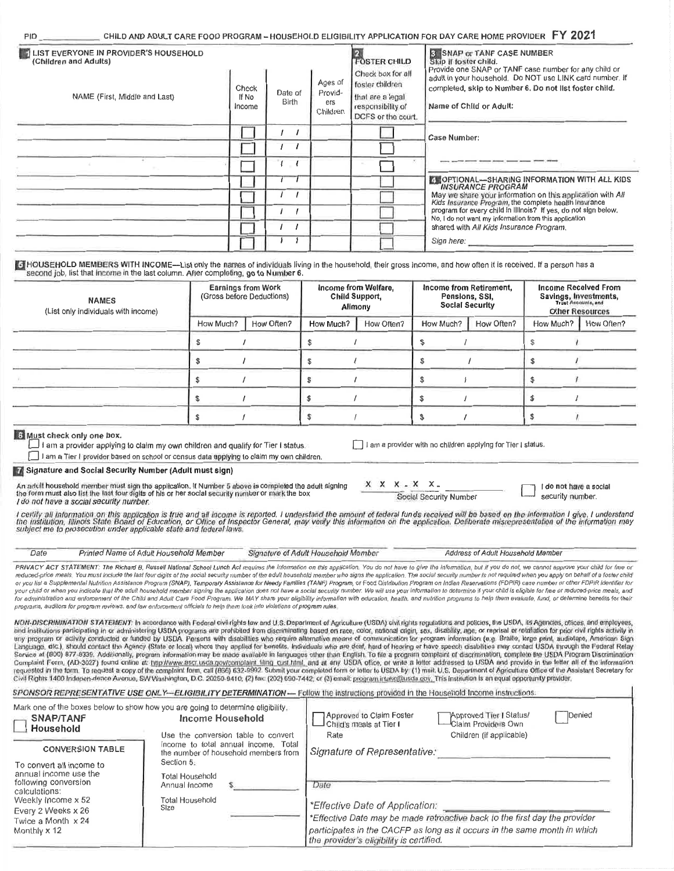|  | . CHILD AND ADULT CARE FOOD PROGRAM – HOUSEHOLD ELIGIBILITY APPLICATION FOR DAY CARE HOME PROVIDER $\,$ FY $\,202^{\prime}$ |  |  |  |  |  |  |  |  |
|--|-----------------------------------------------------------------------------------------------------------------------------|--|--|--|--|--|--|--|--|
|--|-----------------------------------------------------------------------------------------------------------------------------|--|--|--|--|--|--|--|--|

| LIST EVERYONE IN PROVIDER'S HOUSEHOLD<br>(Children and Adults) |                          |                  |                                       | <b>FOSTER CHILD</b>                                                                                 | 3 SNAP or TANF CASE NUMBER<br>Skip if foster child.<br>Provide one SNAP or TANF case number for any child or                                                                                            |
|----------------------------------------------------------------|--------------------------|------------------|---------------------------------------|-----------------------------------------------------------------------------------------------------|---------------------------------------------------------------------------------------------------------------------------------------------------------------------------------------------------------|
| NAME (First, Middle and Last)                                  | Check<br>If No<br>Income | Date of<br>Birth | Ages of<br>Provid-<br>ers<br>Children | Check box for all<br>foster children<br>that are a legal<br>responsibility of<br>DCFS or the court. | adult in your household. Do NOT use LINK card number. If<br>completed, skip to Number 6. Do not list foster child.<br>Name of Child or Adult:                                                           |
|                                                                |                          |                  |                                       |                                                                                                     | Case Number:                                                                                                                                                                                            |
|                                                                |                          |                  |                                       |                                                                                                     |                                                                                                                                                                                                         |
|                                                                |                          |                  |                                       |                                                                                                     | <b>Exportional-Sharing Information WITH ALL KIDS</b><br><b>INSURANCE PROGRAM</b><br>May we share your information on this application with All<br>Kids Insurance Program, the complete health Insurance |
|                                                                |                          |                  |                                       |                                                                                                     | program for every child in Illinois? If yes, do not sign below.<br>No, I do not want my information from this application<br>shared with All Kids Insurance Program.                                    |
|                                                                |                          |                  |                                       |                                                                                                     | Sign here:                                                                                                                                                                                              |

Fill HOUSEHOLD MEMBERS WITH INCOME-List only the names of individuals living in the household, their gross income, and how often it is received. If a person has a second job, list that income in the last column. After completing, go to Number 6.

| <b>NAMES</b><br>(List only individuals with income) |           | <b>Earnings from Work</b><br>(Gross before Deductions) |           | Income from Welfare,<br>Child Support,<br>Allmony |           | Income from Retirement,<br>Pensions, SSI,<br><b>Social Security</b> |           | <b>Income Received From</b><br>Savings, Investments,<br><b>Other Resources</b> |
|-----------------------------------------------------|-----------|--------------------------------------------------------|-----------|---------------------------------------------------|-----------|---------------------------------------------------------------------|-----------|--------------------------------------------------------------------------------|
|                                                     | How Much? | How Often?                                             | How Much? | How Often?                                        | How Much? | How Often?                                                          | How Much? | How Often?                                                                     |
|                                                     |           |                                                        |           |                                                   |           |                                                                     |           |                                                                                |
|                                                     |           |                                                        |           |                                                   |           |                                                                     |           |                                                                                |
|                                                     |           |                                                        |           |                                                   |           |                                                                     |           |                                                                                |
|                                                     |           |                                                        |           |                                                   |           |                                                                     |           |                                                                                |
|                                                     |           |                                                        |           |                                                   |           |                                                                     |           |                                                                                |

#### 6 Must check only one box.

**PID** 

 $\Box$  I am a provider applying to claim my own children and qualify for Tier I status.

I am a Tier I provider based on school or census data applying to claim my own children.

Signature and Social Security Number (Adult must sign)

An adult household member must sign the application. If Number 5 above is completed the adult signing<br>the form must also list the last four digits of his or her social security number or mark the box I do not have a social security number.

I am a provider with no children applying for Tier I status

Social Security Number

 $X$   $X$   $X$   $-X$   $X$ 

I do not have a social security number.

l certily all information on this application is true and all income is reported. I understand the amount of federal funds received will be based on the information I give. I understand<br>the institution, Illinois State Boar

| Date | Printed Name of Adult Household Member | Signature of Adult Household Member | Address of Adult Household Member                                                                                                                                                                                              |
|------|----------------------------------------|-------------------------------------|--------------------------------------------------------------------------------------------------------------------------------------------------------------------------------------------------------------------------------|
|      |                                        |                                     | PRIVACY ACT STATEMENT: The Richard B, Russell National School Lunch Act requires the information on this application, You do not have to give the information, but if you do not, we cannot approve your child for free or     |
|      |                                        |                                     | reduced-price meals. You must include the last four digits of the social security number of the adult household member who signs the application. The social secuity number is not required when you apply on behalf of a fost |

or you list a Supplemental Nutrition Assistance Program (SNAP), Temporary Assistance for Needy Families (TANF) Program, or Food Distribution Program on Indian Reservations (FDPIR) case number or other FDPIR identifier for your child or when you indicate that the adult household member signing the application does not have a social security number. We will use your information to determine if your child is eligible for free or reduced-price programs, auditors for program reviews, and law enforcement officials to help them look into violations of program rules

NON-DISCRIMINATION STATEMENT: In accordance with Federal civil rights law and U.S. Department of Agriculture (USDA) civil rights regulations and policies, the USDA, its Agencies, offices, and employees, and institutions participating in or administering USDA programs are prohibited from discriminating based on race, color, national origin, sex, disability, age, or reprisal or retaliation for prior civil rights activity in any program or activity conducted or funded by USDA. Persons with disabilities who require alternative means of communication for program information (e.g. Bralle, large print, audiotape, American Sign Language, etc.), sho Complaint Form, (AD-3027) found online at: http://www.secrusde.gov/complaint filing cust/html, and at any USDA office, or write a letter addressed to USDA and provide in the felter all of the information Civil Rights 1400 Indepen-dence Avenue, SW Washington, D.C. 20250-9410; (2) fax: (202) 690-7442; or (3) email: program intake@usda gov. This institution is an equal opportunity provider.

|                                                                                                                                                                              |                                                                                                                                                   | SPONSOR REPRESENTATIVE USE ONLY-ELIGIBILITY DETERMINATION- Follow the instructions provided in the Household Income instructions.                                                                                                              |  |  |  |  |
|------------------------------------------------------------------------------------------------------------------------------------------------------------------------------|---------------------------------------------------------------------------------------------------------------------------------------------------|------------------------------------------------------------------------------------------------------------------------------------------------------------------------------------------------------------------------------------------------|--|--|--|--|
| <b>SNAP/TANF</b><br>Household                                                                                                                                                | Mark one of the boxes below to show how you are going to determine eligibility.<br><b>Income Household</b><br>Use the conversion table to convert | Approved to Claim Foster<br><b>Approved Tier I Status!</b><br><b>Denied</b><br>Child's meals at Tier I<br>-Claim Providers Own<br>Children (if applicable)<br>Rate                                                                             |  |  |  |  |
| <b>CONVERSION TABLE</b>                                                                                                                                                      | income to total annual income. Total<br>the number of household members from<br>Section 5.                                                        | Signature of Representative:                                                                                                                                                                                                                   |  |  |  |  |
| To convert all income to<br>annual income use the<br>following conversion<br>calculations:<br>Weekly Income x 52<br>Every 2 Weeks x 26<br>Twice a Month x 24<br>Monthly x 12 | <b>Total Household</b><br>Annual Income<br>Total Household<br>Size                                                                                | Date<br>*Effective Date of Application:<br>*Effective Date may be made retroactive back to the first day the provider<br>participates in the CACFP as long as it occurs in the same month in which<br>the provider's eligibility is certified. |  |  |  |  |